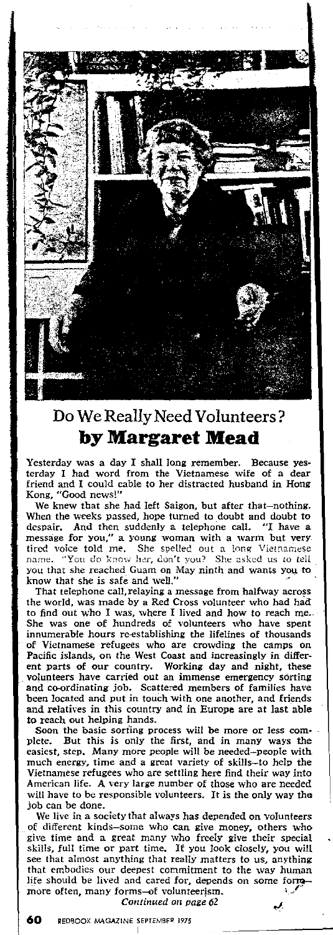

## Do We Really Need Volunteers? **by Margaret Mead**

Yesterday was a day I shall long remember. Because yes• terday I had word from the Vietnamese wife of a dear friend and I could cable to her distracted husband in Hong Kong, "Good news!"

We knew that she had left Saigon, but after that--nothir When the weeks passed, hope turned to doubt and doubt to despair. And then suddenly a telephone call. "I have a message for you," a young woman with a warm but very tired voice told me. She spelled out a long Vietnames name. "You do know her, don't you? She asked us *to tell* you that she reached Guam on May ninth and wants you to know that she is safe and well."

That telephone call, relaying a message from halfway across the world, was made by a Red Cross volunteer who had had to find out who I was, where I lived and how to reach me. She was one of hundreds of volunteers who have spent innumerable hours re-establishing the lifelines of thousand of Vietnamese refugees who are crowding the camps on Pacific islands, on the West Coast and increasingly in different parts of our country. Working day and night, these volunteers have carried out an immense emergency s6rting and co-ordinating job. Scattered members of families have been located and put in touch with one another, and friends and relatives in this country and in Europe are at last able to reach out helping hands.

Soon the basic sorting process will be more or less complete. But this is only the first, and in many ways the easiest, step. Many more people will be needed-people with. much energy, time and a great variety of skills-to help the Vietnamese refugees who are settling here find their way into American life. A very large number of those who are needed will have to be responsible volunteers. It *is* the only way the job can be done.

We live in a society that always has depended on volunteers of different kinds-some who can give money, others who give time and a great many who freely give their special skills, full time or part time. If you look closely, you will see that almost anything that reaIIY matters to us, anything that embodies our deepest commitment to the way human life should be lived and cared for, depends on some form-<br>more often, many forms-of volunteerism. Continued on page 62

60 REDBOOK MAGAZINE SEPTEMBER 1975

I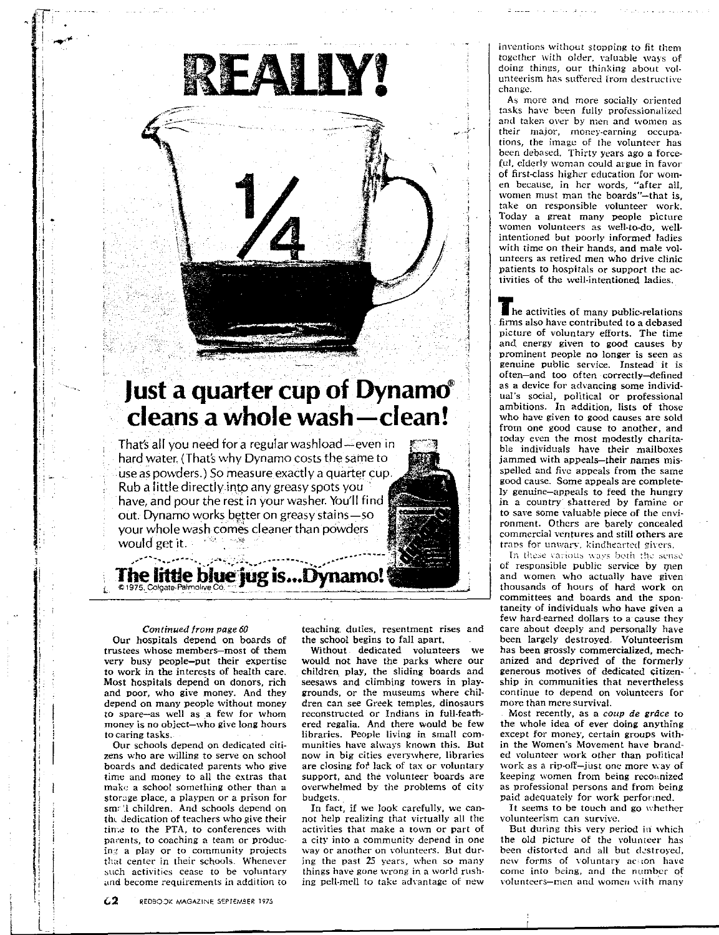## **Just a quarter cup of Dynamo®**  cleans a whole wash-clean!

That's all you need for a regular washload-even in hard water. (That's why Dynamo costs the same to use as powders.) So measure exactly a quarter cup. Rub a little directly intp any greasy spots you have, and pour the rest in your washer. You'll find out. Dynamo works better on greasy stains-so your whole wash comes cleaner than powders would get it.

**REAL!** 

## **The little blue jug is...Dynamo!** <sup>L</sup>© 1975,\_Co!gate-Pat,:nol1ve\_Co. ~-···"-· \_\_\_ ------'----•--· ---====-....,

## *Continued from page 60*

't

'I

i  $, \dagger$ 'i

' -

' ',

I l

Our hospitals depend on boards of trustees whose members-most of them very busy people-put their expertise to work in the interests of health care. Most hospitals depend on donors, rich and poor, who give money. And they depend on many people without money to spare-as well as a few for whom money is no object-who give long hours to caring tasks.

Our schools depend on dedicated citizens who are willing to serve on school boards and dedicated parents who give time and money to all the extras that make a school something other than a storage place, a playpen or a prison for sm<sup>-1</sup> children. And schools depend on the dedication of teachers who give their time to the PTA, to conferences with parents, to coaching a team or producing a play or to community projects that center in their schools. Whenever such activities cease to be voluntary and become requirements in addition to

teaching duties, resentment rises and the school begins to fall apart.

Without dedicated volunteers we would not have the parks where our children play, the sliding boards and seesaws and climbing towers in playgrounds, or the museums where children can see Greek temples, dinosaurs reconstructed or Indians in full-feathered regalia. And there would be few libraries. People living in small communities have ahvays known this. But now in big cities everywhere, libraries are closing for lack of tax or voluntary support, and the volunteer boards are overwhelmed by the problems of city budgets.

In fact, if we look carefully, we cannot help realizing that virtually all the activities that make a town or part of a city into a community depend in one way or another on volunteers. But during the past 25 years, when so many things have gone wrong in a world rushing pell-mell to take advantage of new

inventions without stopping to fit them together with older, valuable ways of doing things, our thinking about volunteerism has suffered lrom destructive change.

As more and more socially oriented tasks have been fully professionalized and taken over by men and women as their major, money-earning occupations, the image of the volunteer has been debased. Thirty years ago a forceful, elderly woman could argue in favor of first-class higher education for women because, in her words, "after all, women must man the boards"-that is, take on responsible volunteer work. Today a great many people picture women volunteers as well-to-do, wellintentioned but poorly informed ladies with time on their hands, and male volunteers as retired men who drive clinic patients to hospitals or support the activities of the well-intentioned ladies.

i

 $\sqrt{\frac{2}{\pi}}$ l  $\frac{d^2\mathcal{L}}{d^2}$ 1 ' ii ' .'i j ] ' i ' i

**The** activities of many public-relations firms also have contributed to a debased picture of voluntary efforts. The time and energy given to good causes by prominent people no longer is seen as genuine public service. Instead it is often-and too often correctly-defined as a device for advancing some individual's social, political or professional ambitions, In addition, lists of those who have given to good causes are sold from one good cause to another, and today even the most modestly charitable individuals have their mailboxes jammed with appeals-their names misspelled and five appeals from the same good cause. Some appeals are completely genuine-appeals to feed the hungry in a country shattered by famine or to save some valuable piece of the environment. Others are barely concealed commercial ventures and still others are trans for unwary, kindhearted givers.

In these various ways both the sense of responsible public service by men and women who actually have given thousands of hours of hard work on committees and boards and the spontaneity of individuals who have given a few hard-earned dollars *to* a cause they care about deeply and personally have been largely destroyed. Volunteerism has been grossly commercialized, mech• anized and deprived of the formerly generous motives of dedicated citizen~ ship in communities that nevertheless continue to depend on volunteers for more than mere survival.

Most recently, as a *coup de grdce to*  the whole idea of ever doing anything except for money, certain groups within the Women's Movement haye brand· ed volunteer work other than political work as a rip-off-just one more way of keeping women from being reco $\mu$ nized as professional persons and from being paid adequately for work performed.

It seems to be touch and go whether volunteerism can survive.

But during this very period in which the old picture of the volunteer has been distorted and all but destroyed, new forms of voluntary action have come into being, and the number of volunteers-men and women with many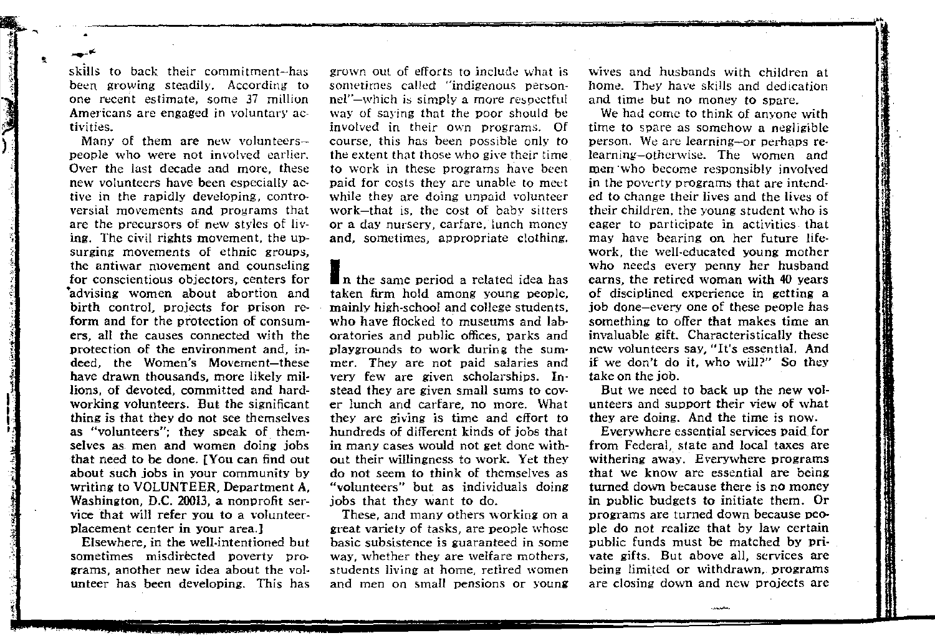skills to back their commitment-has been growing steadily. According to one recent estimate, some 37 million Americans are engaged in voluntary ac• tivities.

~~

Many of them are new volunteerspeople who were not involved earlier. Over the last decade and more, these new volunteers have been especially active in the rapidly developing, controversial movements and programs that are the precursors of new styles of living. The civil rights movement, the upsurging movements of ethnic groups, the antiwar movement and counseling for conscientious objectors, centers for advising women about abortion and birth control, projects for prison reform and for the protection of consumers, all the causes connected with the protection of the environment and, indeed, the Women's Movement-these have drawn thousands, more likely millions, of devoted, committed and hardworking volunteers. But the significant thing is that they do not see themselves as "volunteers"; they speak of themselves as men and women doing jobs that need to be done. [You can find out about such jobs in your community by writing to VOLUNTEER, Department A, Washington, D.C. 20013, a nonprofit service that will refer you to a volunteerplacement center in your area.]

Elsewhere, in the well-intentioned but sometimes misdirected poverty pro• grams, another new idea about the volunteer has been developing. This has grown out of efforts to include what is sometimes called "indigenous personnel"-which is simply a more respectful way of saying that the poor should be involved in their own programs. Of course, this has been possible only to the extent that those who give their time to work in these programs have been paid for costs they are unable to meet while they are doing unpaid volunteer work-that is, the cost of baby sitters or a day nursery, carfare, lunch money and, sometimes, appropriate clothing.

In the same period a related idea has taken firm hold among young people, mainly high-school and college students, who have flocked to museums and laboratories and public offices, parks and playgrounds to work during the summer. They are not paid salaries and very few are given scholarships. Instead they are given small sums to cover lunch and carfare, no more. What they are giving is time and effort to hundreds of different kinds of jobs that in many cases would not get done with· out their willingness to work. Yet they do not seem to think of themselves as "volunteers" but as individuals doing jobs that they want to do.

These, and many others working on a great variety of tasks, are people whose basic subsistence is guaranteed in some way, whether they are welfare mothers, students living at home, retired women and men on small pensions or young wives and husbands with children at home. They have skills and dedication and time but no money to spare.

We had come to think of anyone with time to spare as somehow a negligible person. We are learning-or perhaps relearning-otherwise. The women and men ·who become responsibly involved in the poverty programs that are intended to change their lives and the lives of their children, the young student who is eager to participate in activities- that may have bearing on her future lifework, the well-educated young mother who needs every penny her husband earns, the retired woman with 40 years of disciplined experience in getting a job done-every one of these people has something to offer that makes time an invaluable gift. Characteristically these new volunteers say, "It's essential. And if we don't do it, who will?" So they take on the job.

But we need to back up the new volunteers and support their view of what they are doing. And the time is now.

Everywhere essential services paid\_ for from Federal, state and local taxes are withering away. Everywhere programs that we know are essential are being turned down because there is no money in public budgets to initiate them. Or programs are turned down because people do not realize that by law certain public funds must be matched by private gifts. But above all, services are being limited or withdrawn, programs are closing down and new projects are